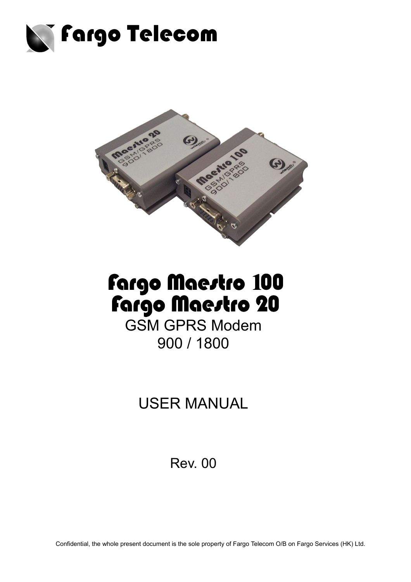



# Fargo Maestro 100<br>Fargo Maestro 20

GSM GPRS Modem 900 / 1800

USER MANUAL

Rev. 00

Confidential, the whole present document is the sole property of Fargo Telecom O/B on Fargo Services (HK) Ltd.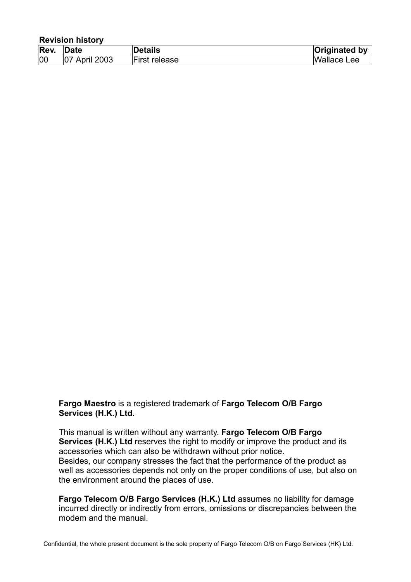| <b>Revision history</b> |                      |                      |                      |  |
|-------------------------|----------------------|----------------------|----------------------|--|
| Rev.                    | Date                 | <b>Details</b>       | <b>Originated by</b> |  |
| 00                      | <b>07 April 2003</b> | <b>First release</b> | <b>Wallace Lee</b>   |  |

**Fargo Maestro** is a registered trademark of **Fargo Telecom O/B Fargo Services (H.K.) Ltd.**

This manual is written without any warranty. **Fargo Telecom O/B Fargo Services (H.K.) Ltd** reserves the right to modify or improve the product and its accessories which can also be withdrawn without prior notice. Besides, our company stresses the fact that the performance of the product as well as accessories depends not only on the proper conditions of use, but also on the environment around the places of use.

**Fargo Telecom O/B Fargo Services (H.K.) Ltd** assumes no liability for damage incurred directly or indirectly from errors, omissions or discrepancies between the modem and the manual.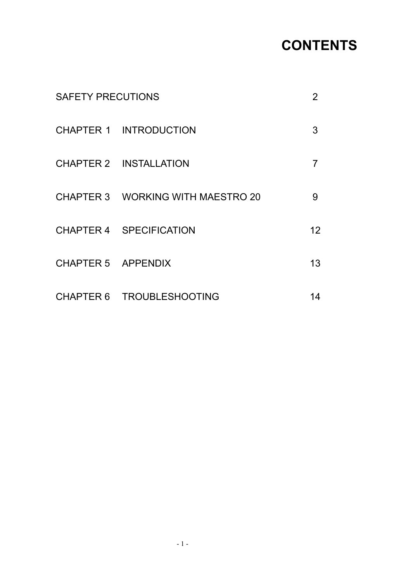## **CONTENTS**

| <b>SAFETY PRECUTIONS</b> |                                   | $\mathbf{2}$ |
|--------------------------|-----------------------------------|--------------|
|                          | <b>CHAPTER 1 INTRODUCTION</b>     | 3            |
|                          | <b>CHAPTER 2 INSTALLATION</b>     |              |
|                          | CHAPTER 3 WORKING WITH MAESTRO 20 | 9            |
|                          | CHAPTER 4 SPECIFICATION           | 12           |
| CHAPTER 5 APPENDIX       |                                   | 13           |
|                          | CHAPTER 6 TROUBLESHOOTING         | 14           |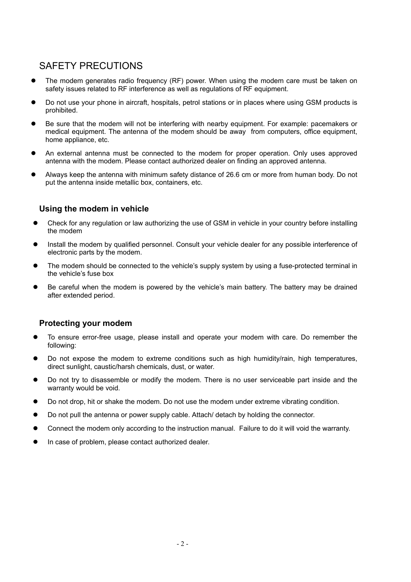### SAFETY PRECUTIONS

- The modem generates radio frequency (RF) power. When using the modem care must be taken on safety issues related to RF interference as well as regulations of RF equipment.
- Do not use your phone in aircraft, hospitals, petrol stations or in places where using GSM products is prohibited.
- Be sure that the modem will not be interfering with nearby equipment. For example: pacemakers or medical equipment. The antenna of the modem should be away from computers, office equipment, home appliance, etc.
- An external antenna must be connected to the modem for proper operation. Only uses approved antenna with the modem. Please contact authorized dealer on finding an approved antenna.
- Always keep the antenna with minimum safety distance of 26.6 cm or more from human body. Do not put the antenna inside metallic box, containers, etc.

#### **Using the modem in vehicle**

- Check for any regulation or law authorizing the use of GSM in vehicle in your country before installing the modem
- Install the modem by qualified personnel. Consult your vehicle dealer for any possible interference of electronic parts by the modem.
- The modem should be connected to the vehicle's supply system by using a fuse-protected terminal in the vehicle's fuse box
- Be careful when the modem is powered by the vehicle's main battery. The battery may be drained after extended period.

#### **Protecting your modem**

- To ensure error-free usage, please install and operate your modem with care. Do remember the following:
- Do not expose the modem to extreme conditions such as high humidity/rain, high temperatures, direct sunlight, caustic/harsh chemicals, dust, or water.
- Do not try to disassemble or modify the modem. There is no user serviceable part inside and the warranty would be void.
- Do not drop, hit or shake the modem. Do not use the modem under extreme vibrating condition.
- Do not pull the antenna or power supply cable. Attach/ detach by holding the connector.
- Connect the modem only according to the instruction manual. Failure to do it will void the warranty.
- In case of problem, please contact authorized dealer.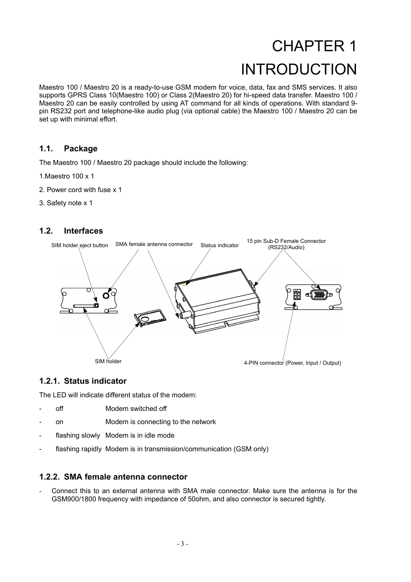## CHAPTER 1 INTRODUCTION

Maestro 100 / Maestro 20 is a ready-to-use GSM modem for voice, data, fax and SMS services. It also supports GPRS Class 10(Maestro 100) or Class 2(Maestro 20) for hi-speed data transfer. Maestro 100 / Maestro 20 can be easily controlled by using AT command for all kinds of operations. With standard 9 pin RS232 port and telephone-like audio plug (via optional cable) the Maestro 100 / Maestro 20 can be set up with minimal effort.

#### **1.1. Package**

The Maestro 100 / Maestro 20 package should include the following:

- 1.Maestro 100 x 1
- 2. Power cord with fuse x 1
- 3. Safety note x 1

#### **1.2. Interfaces**



#### **1.2.1. Status indicator**

The LED will indicate different status of the modem:

- off Modem switched off
- on Modem is connecting to the network
- flashing slowly Modem is in idle mode
- flashing rapidly Modem is in transmission/communication (GSM only)

#### **1.2.2. SMA female antenna connector**

- Connect this to an external antenna with SMA male connector. Make sure the antenna is for the GSM900/1800 frequency with impedance of 50ohm, and also connector is secured tightly.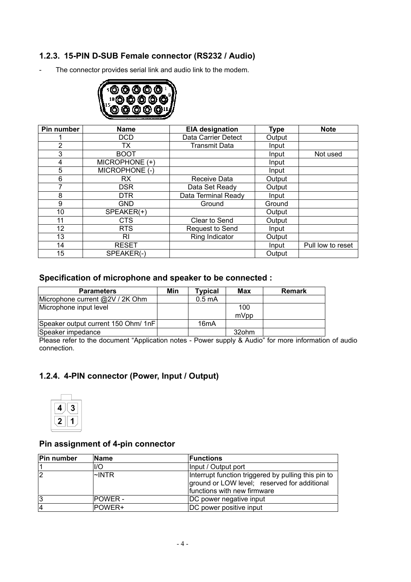#### **1.2.3. 15-PIN D-SUB Female connector (RS232 / Audio)**

- The connector provides serial link and audio link to the modem.



| Pin number     | <b>EIA designation</b><br><b>Name</b> |                        | <b>Type</b> | <b>Note</b>       |
|----------------|---------------------------------------|------------------------|-------------|-------------------|
|                | <b>DCD</b>                            | Data Carrier Detect    | Output      |                   |
| $\overline{2}$ | ТX                                    | <b>Transmit Data</b>   | Input       |                   |
| 3              | <b>BOOT</b>                           |                        | Input       | Not used          |
| 4              | MICROPHONE (+)                        |                        | Input       |                   |
| 5              | MICROPHONE (-)                        |                        | Input       |                   |
| 6              | RX                                    | Receive Data           | Output      |                   |
|                | DSR.                                  | Data Set Ready         | Output      |                   |
| 8              | <b>DTR</b>                            | Data Terminal Ready    | Input       |                   |
| 9              | <b>GND</b>                            | Ground                 | Ground      |                   |
| 10             | SPEAKER(+)                            |                        | Output      |                   |
| 11             | <b>CTS</b>                            | Clear to Send          | Output      |                   |
| 12             | <b>RTS</b>                            | <b>Request to Send</b> | Input       |                   |
| 13             | <b>RI</b>                             | Ring Indicator         | Output      |                   |
| 14             | <b>RESET</b>                          |                        | Input       | Pull low to reset |
| 15             | SPEAKER(-)                            |                        | Output      |                   |

#### **Specification of microphone and speaker to be connected :**

| <b>Parameters</b>                   | Min | <b>Typical</b>    | Max         | <b>Remark</b> |
|-------------------------------------|-----|-------------------|-------------|---------------|
| Microphone current @2V / 2K Ohm     |     | $0.5 \text{ mA}$  |             |               |
| Microphone input level              |     |                   | 100<br>mVpp |               |
| Speaker output current 150 Ohm/ 1nF |     | 16 <sub>m</sub> A |             |               |
| Speaker impedance                   |     |                   | 32ohm       |               |

Please refer to the document "Application notes - Power supply & Audio" for more information of audio connection.

#### **1.2.4. 4-PIN connector (Power, Input / Output)**



#### **Pin assignment of 4-pin connector**

| Pin number     | <b>Name</b>     | <b>IFunctions</b>                                                                                                                  |
|----------------|-----------------|------------------------------------------------------------------------------------------------------------------------------------|
|                | l/O             | Input / Output port                                                                                                                |
| $\overline{2}$ | l∼INTR          | Interrupt function triggered by pulling this pin to<br>ground or LOW level; reserved for additional<br>functions with new firmware |
| 13             | <b>IPOWER -</b> | DC power negative input                                                                                                            |
| 14             | <b>POWER+</b>   | DC power positive input                                                                                                            |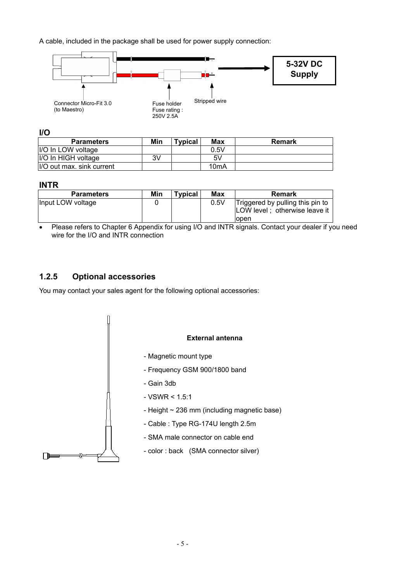A cable, included in the package shall be used for power supply connection:



**I/O**

| <b>Parameters</b>          | Min | <b>Typical</b> | <b>Max</b> | Remark |
|----------------------------|-----|----------------|------------|--------|
| I/O In LOW voltage         |     |                | 0.5V       |        |
| I/O In HIGH voltage        | 3V  |                | 5V         |        |
| II/O out max. sink current |     |                | 10mA       |        |

#### **INTR**

| <b>Parameters</b> | Min | <b>Typical</b> | Max  | Remark                                                                            |
|-------------------|-----|----------------|------|-----------------------------------------------------------------------------------|
| Input LOW voltage |     |                | 0.5V | Triggered by pulling this pin to<br>LOW level; otherwise leave it<br><b>lopen</b> |

• Please refers to Chapter 6 Appendix for using I/O and INTR signals. Contact your dealer if you need wire for the I/O and INTR connection

#### **1.2.5 Optional accessories**

You may contact your sales agent for the following optional accessories:

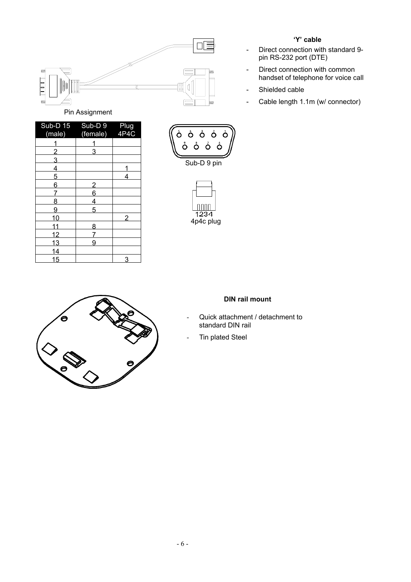

| Sub-D 15       | Sub-D <sub>9</sub> | Plug |
|----------------|--------------------|------|
| (male)         | (female)           | 4P4C |
|                |                    |      |
| $\overline{2}$ | 3                  |      |
| $\overline{3}$ |                    |      |
| $\overline{4}$ |                    |      |
| 5              |                    | 4    |
| 6              | $\overline{2}$     |      |
| 7              | 6                  |      |
| 8              | $\overline{4}$     |      |
| 9              | 5                  |      |
| 10             |                    | 2    |
| 11             | 8                  |      |
| 12             | 7                  |      |
| 13             | 9                  |      |
| 14             |                    |      |
| 15             |                    | 3    |





#### **DIN rail mount**

- Quick attachment / detachment to standard DIN rail
- Tin plated Steel

#### **'Y' cable**

- Direct connection with standard 9 pin RS-232 port (DTE)
- Direct connection with common handset of telephone for voice call
- Shielded cable
- Cable length 1.1m (w/ connector)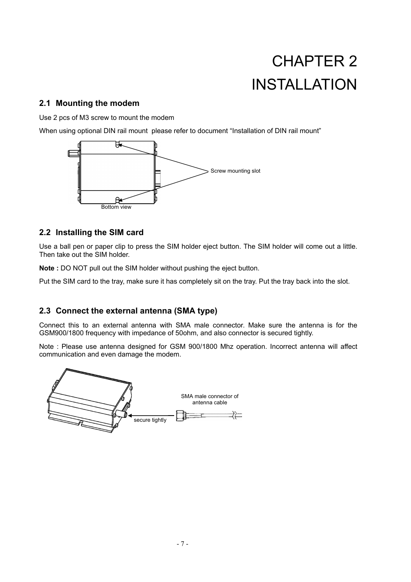## CHAPTER 2 INSTALLATION

#### **2.1 Mounting the modem**

Use 2 pcs of M3 screw to mount the modem

When using optional DIN rail mount please refer to document "Installation of DIN rail mount"



#### **2.2 Installing the SIM card**

Use a ball pen or paper clip to press the SIM holder eject button. The SIM holder will come out a little. Then take out the SIM holder.

**Note :** DO NOT pull out the SIM holder without pushing the eject button.

Put the SIM card to the tray, make sure it has completely sit on the tray. Put the tray back into the slot.

#### **2.3 Connect the external antenna (SMA type)**

Connect this to an external antenna with SMA male connector. Make sure the antenna is for the GSM900/1800 frequency with impedance of 50ohm, and also connector is secured tightly.

Note : Please use antenna designed for GSM 900/1800 Mhz operation. Incorrect antenna will affect communication and even damage the modem.

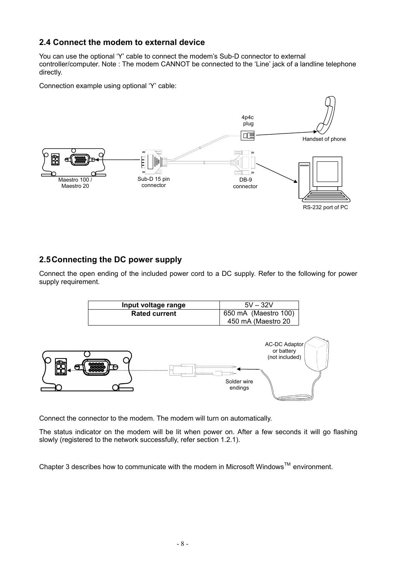#### **2.4 Connect the modem to external device**

You can use the optional 'Y' cable to connect the modem's Sub-D connector to external controller/computer. Note : The modem CANNOT be connected to the 'Line' jack of a landline telephone directly.

Connection example using optional 'Y' cable:



#### **2.5 Connecting the DC power supply**

Connect the open ending of the included power cord to a DC supply. Refer to the following for power supply requirement.



Connect the connector to the modem. The modem will turn on automatically.

The status indicator on the modem will be lit when power on. After a few seconds it will go flashing slowly (registered to the network successfully, refer section 1.2.1).

Chapter 3 describes how to communicate with the modem in Microsoft Windows<sup>TM</sup> environment.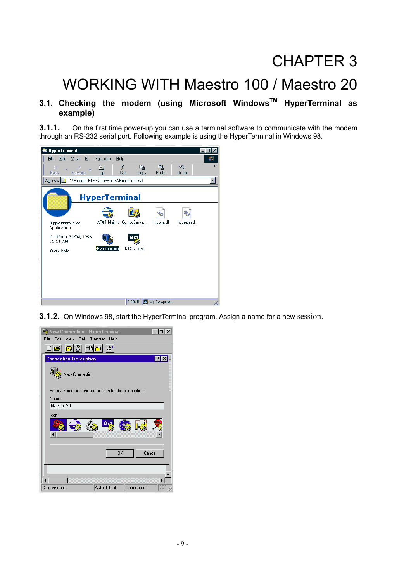## CHAPTER 3

## WORKING WITH Maestro 100 / Maestro 20

#### **3.1. Checking the modem (using Microsoft WindowsTM HyperTerminal as example)**

**3.1.1.** On the first time power-up you can use a terminal software to communicate with the modem through an RS-232 serial port. Following example is using the HyperTerminal in Windows 98.



**3.1.2.** On Windows 98, start the HyperTerminal program. Assign a name for a new session.

| <b>New Connection - HyperTerminal</b>               |
|-----------------------------------------------------|
| Edit<br>View Call Transfer Help<br>File             |
| dd 6<br>* 8 3                                       |
| П<br><b>Connection Description</b><br>lx            |
| New Connection                                      |
| Enter a name and choose an icon for the connection: |
| Name:                                               |
| Maestro 20                                          |
| lcon:                                               |
|                                                     |
| Cancel<br>OK                                        |
|                                                     |
|                                                     |
| SCF<br>Auto detect<br>Auto detect<br>Disconnected   |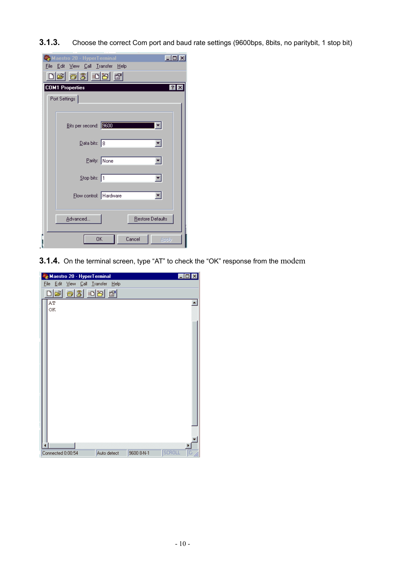**3.1.3.** Choose the correct Com port and baud rate settings (9600bps, 8bits, no paritybit, 1 stop bit)

| Maestro 20 - HyperTerminal<br>File Edit View Call Transfer Help<br>de 03 de 6 |                                     |  |  |  |  |
|-------------------------------------------------------------------------------|-------------------------------------|--|--|--|--|
|                                                                               | <b>COM1 Properties</b><br> ? <br>l× |  |  |  |  |
|                                                                               | Port Settings                       |  |  |  |  |
|                                                                               | Bits per second: 3600               |  |  |  |  |
|                                                                               | $\overline{\mathsf{D}}$ ata bits: 8 |  |  |  |  |
|                                                                               | Parity: None                        |  |  |  |  |
|                                                                               | Stop bits: 1                        |  |  |  |  |
|                                                                               | Flow control: Hardware              |  |  |  |  |
|                                                                               | Restore Defaults<br>Advanced        |  |  |  |  |
|                                                                               | <b>OK</b><br>Cancel<br>Apply        |  |  |  |  |

**3.1.4.** On the terminal screen, type "AT" to check the "OK" response from the modem

| Maestro 20 - HyperTerminal<br>$ \Box$ $\times$                  |    |  |  |  |  |  |  |
|-----------------------------------------------------------------|----|--|--|--|--|--|--|
| $I$ ransfer<br>– <u>E</u> dit<br>$View$ $Call$<br>Eile<br>上elp  |    |  |  |  |  |  |  |
| $ \vec{r} $ o $ 3 $ o $ B $<br>$\mathbb{E}$<br>D                |    |  |  |  |  |  |  |
| AΤ<br>OK                                                        |    |  |  |  |  |  |  |
| <b>SCROLL</b><br>9600 8-N-1<br>Connected 0:00:54<br>Auto detect | G) |  |  |  |  |  |  |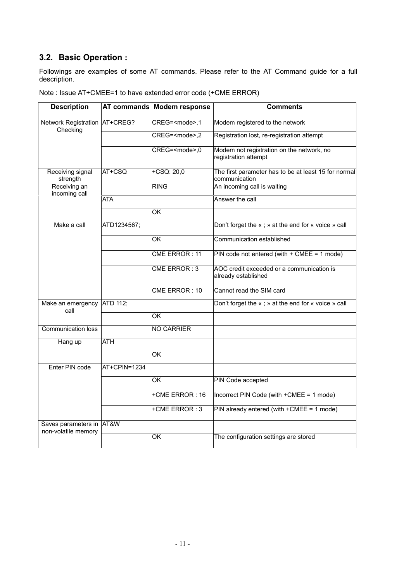#### **3.2. Basic Operation :**

Followings are examples of some AT commands. Please refer to the AT Command guide for a full description.

| <b>Description</b>                              |                  | AT commands Modem response | <b>Comments</b>                                                       |
|-------------------------------------------------|------------------|----------------------------|-----------------------------------------------------------------------|
| Network Registration AT+CREG?<br>Checking       |                  | CREG= <mode>,1</mode>      | Modem registered to the network                                       |
|                                                 |                  | CREG= <mode>,2</mode>      | Registration lost, re-registration attempt                            |
|                                                 |                  | CREG= <mode>,0</mode>      | Modem not registration on the network, no<br>registration attempt     |
| Receiving signal<br>strength                    | AT+CSQ           | $+CSQ: 20,0$               | The first parameter has to be at least 15 for normal<br>communication |
| Receiving an<br>incoming call                   |                  | <b>RING</b>                | An incoming call is waiting                                           |
|                                                 | <b>ATA</b>       |                            | Answer the call                                                       |
|                                                 |                  | $\overline{\mathsf{OK}}$   |                                                                       |
| Make a call                                     | ATD1234567;      |                            | Don't forget the «; » at the end for « voice » call                   |
|                                                 |                  | ОK                         | Communication established                                             |
|                                                 |                  | CME ERROR: 11              | PIN code not entered (with + CMEE = 1 mode)                           |
|                                                 |                  | CME ERROR: 3               | AOC credit exceeded or a communication is<br>already established      |
|                                                 |                  | CME ERROR: 10              | Cannot read the SIM card                                              |
| Make an emergency<br>call                       | ATD 112;         |                            | Don't forget the «; » at the end for « voice » call                   |
|                                                 |                  | $\overline{\mathsf{OK}}$   |                                                                       |
| <b>Communication loss</b>                       |                  | <b>NO CARRIER</b>          |                                                                       |
| Hang up                                         | $\overline{ATH}$ |                            |                                                                       |
|                                                 |                  | $\overline{\alpha}$        |                                                                       |
| Enter PIN code                                  | AT+CPIN=1234     |                            |                                                                       |
|                                                 |                  | $\overline{\alpha}$        | PIN Code accepted                                                     |
|                                                 |                  | +CME ERROR: 16             | Incorrect PIN Code (with +CMEE = 1 mode)                              |
|                                                 |                  | +CME ERROR: 3              | PIN already entered (with $+CMEE = 1$ mode)                           |
| Saves parameters in AT&W<br>non-volatile memory |                  |                            |                                                                       |
|                                                 |                  | OK                         | The configuration settings are stored                                 |

Note : Issue AT+CMEE=1 to have extended error code (+CME ERROR)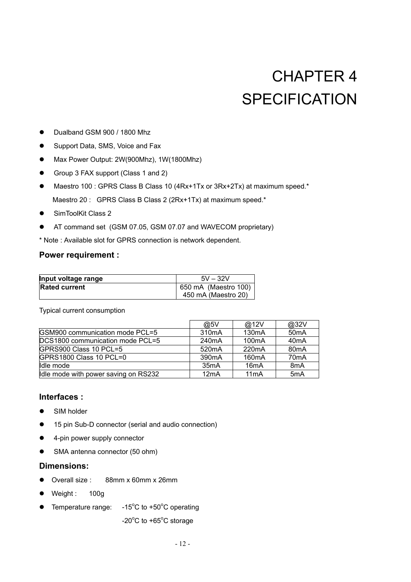## CHAPTER 4 **SPECIFICATION**

- Dualband GSM 900 / 1800 Mhz
- Support Data, SMS, Voice and Fax
- Max Power Output: 2W(900Mhz), 1W(1800Mhz)
- Group 3 FAX support (Class 1 and 2)
- Maestro 100 : GPRS Class B Class 10 (4Rx+1Tx or 3Rx+2Tx) at maximum speed.\* Maestro 20 : GPRS Class B Class 2 (2Rx+1Tx) at maximum speed.\*
- SimToolKit Class 2
- AT command set (GSM 07.05, GSM 07.07 and WAVECOM proprietary)
- \* Note : Available slot for GPRS connection is network dependent.

#### **Power requirement :**

| Input voltage range  | $5V - 32V$           |
|----------------------|----------------------|
| <b>Rated current</b> | 650 mA (Maestro 100) |
|                      | 450 mA (Maestro 20)  |

Typical current consumption

|                                      | @5V                | @12V               | @32V              |
|--------------------------------------|--------------------|--------------------|-------------------|
| GSM900 communication mode PCL=5      | 310 <sub>m</sub> A | 130 <sub>m</sub> A | 50 <sub>m</sub> A |
| DCS1800 communication mode PCL=5     | 240 <sub>m</sub> A | 100 <sub>m</sub> A | 40 <sub>m</sub> A |
| GPRS900 Class 10 PCL=5               | 520 <sub>m</sub> A | 220 <sub>m</sub> A | 80 <sub>m</sub> A |
| GPRS1800 Class 10 PCL=0              | 390 <sub>m</sub> A | 160 <sub>m</sub> A | 70 <sub>m</sub> A |
| Idle mode                            | 35 <sub>m</sub> A  | 16 <sub>m</sub> A  | 8 <sub>m</sub> A  |
| Idle mode with power saving on RS232 | 12mA               | 11 <sub>m</sub> A  | 5 <sub>m</sub> A  |

#### **Interfaces :**

- $\bullet$  SIM holder
- 15 pin Sub-D connector (serial and audio connection)
- $\bullet$  4-pin power supply connector
- SMA antenna connector (50 ohm)

#### **Dimensions:**

- Overall size : 88mm x 60mm x 26mm
- $\bullet$  Weight: 100g
- Temperature range: C to  $+50^{\circ}$ C operating
	- $-20^{\circ}$ C to  $+65^{\circ}$ C storage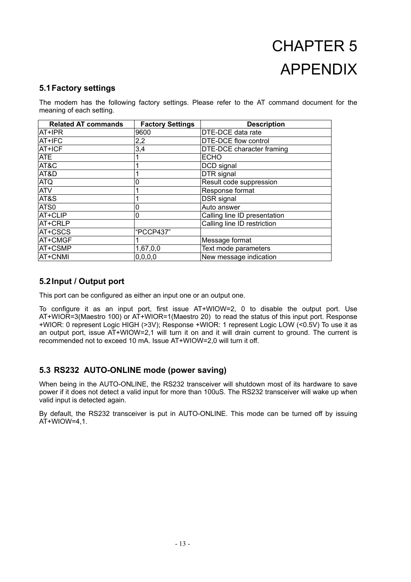## CHAPTER 5 APPENDIX

#### **5.1 Factory settings**

The modem has the following factory settings. Please refer to the AT command document for the meaning of each setting.

| <b>Related AT commands</b> | <b>Factory Settings</b> | <b>Description</b>           |
|----------------------------|-------------------------|------------------------------|
| AT+IPR                     | 9600                    | <b>DTE-DCE data rate</b>     |
| AT+IFC                     | 2,2                     | DTE-DCE flow control         |
| AT+ICF                     | 3,4                     | DTE-DCE character framing    |
| <b>ATE</b>                 |                         | <b>ECHO</b>                  |
| AT&C                       |                         | DCD signal                   |
| AT&D                       |                         | DTR signal                   |
| <b>ATQ</b>                 |                         | Result code suppression      |
| <b>ATV</b>                 |                         | Response format              |
| AT&S                       |                         | DSR signal                   |
| ATS0                       | 0                       | Auto answer                  |
| AT+CLIP                    | 0                       | Calling line ID presentation |
| AT+CRLP                    |                         | Calling line ID restriction  |
| AT+CSCS                    | "PCCP437"               |                              |
| AT+CMGF                    |                         | Message format               |
| AT+CSMP                    | 1,67,0,0                | Text mode parameters         |
| AT+CNMI                    | 0, 0, 0, 0              | New message indication       |

#### **5.2 Input / Output port**

This port can be configured as either an input one or an output one.

To configure it as an input port, first issue AT+WIOW=2, 0 to disable the output port. Use AT+WIOR=3(Maestro 100) or AT+WIOR=1(Maestro 20) to read the status of this input port. Response +WIOR: 0 represent Logic HIGH (>3V); Response +WIOR: 1 represent Logic LOW (<0.5V) To use it as an output port, issue AT+WIOW=2,1 will turn it on and it will drain current to ground. The current is recommended not to exceed 10 mA. Issue AT+WIOW=2,0 will turn it off.

#### **5.3 RS232 AUTO-ONLINE mode (power saving)**

When being in the AUTO-ONLINE, the RS232 transceiver will shutdown most of its hardware to save power if it does not detect a valid input for more than 100uS. The RS232 transceiver will wake up when valid input is detected again.

By default, the RS232 transceiver is put in AUTO-ONLINE. This mode can be turned off by issuing  $AT+WIOW=4.1.$